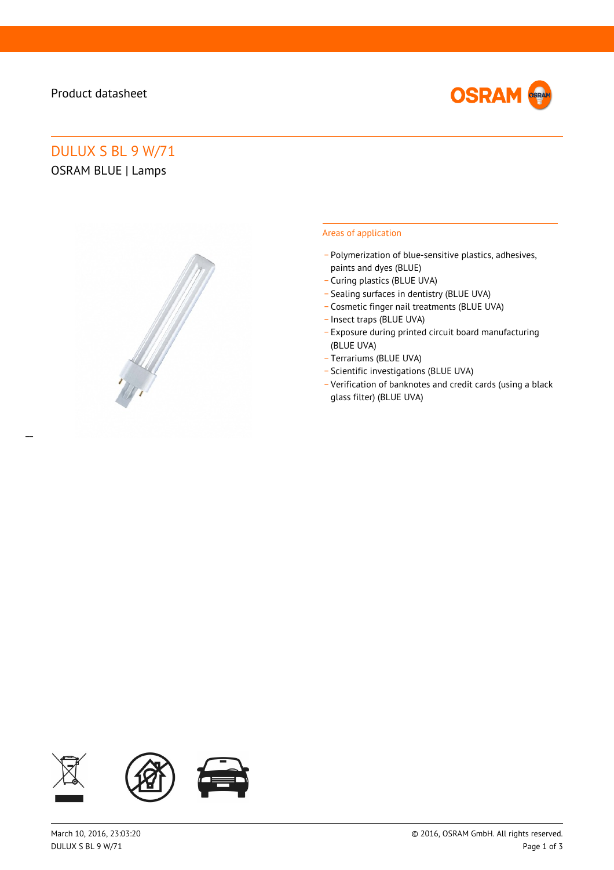# Product datasheet

 $\overline{a}$ 



# DULUX S BL 9 W/71 OSRAM BLUE | Lamps



### Areas of application

- \_ Polymerization of blue-sensitive plastics, adhesives, paints and dyes (BLUE)
- \_ Curing plastics (BLUE UVA)
- \_ Sealing surfaces in dentistry (BLUE UVA)
- \_ Cosmetic finger nail treatments (BLUE UVA)
- \_ Insect traps (BLUE UVA)
- \_ Exposure during printed circuit board manufacturing (BLUE UVA)
- \_ Terrariums (BLUE UVA)
- \_ Scientific investigations (BLUE UVA)
- \_ Verification of banknotes and credit cards (using a black glass filter) (BLUE UVA)

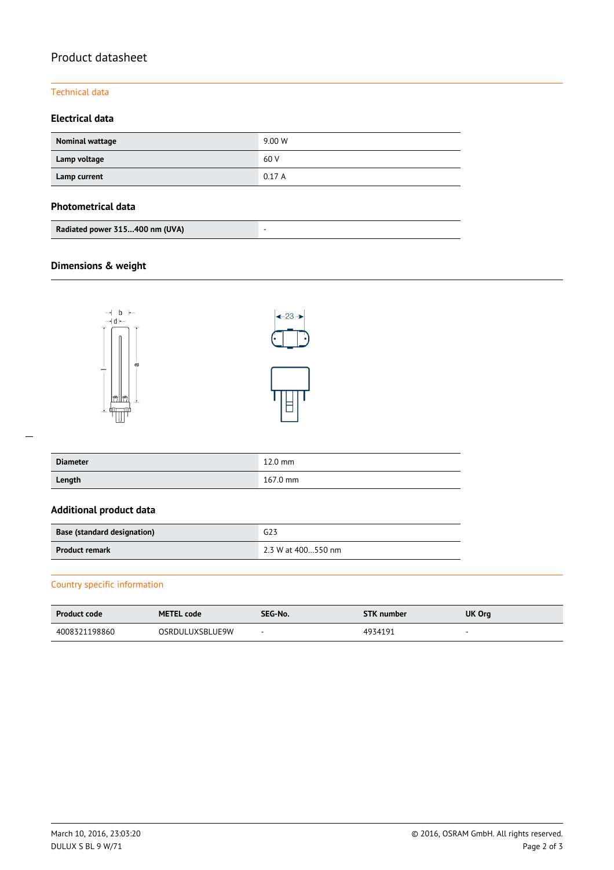# Product datasheet

### Technical data

## **Electrical data**

| Nominal wattage | 9.00 W |
|-----------------|--------|
| Lamp voltage    | 60 V   |
| Lamp current    | 0.17A  |

### **Photometrical data**

| Radiated power 315400 nm (UVA) |  |
|--------------------------------|--|
|--------------------------------|--|

# **Dimensions & weight**





| <b>Diameter</b> | $12.0$ mm          |
|-----------------|--------------------|
| Length          | $167.0 \text{ mm}$ |

## **Additional product data**

| <b>Base (standard designation)</b> | G23                |  |
|------------------------------------|--------------------|--|
| <b>Product remark</b>              | 2.3 W at 400550 nm |  |

## Country specific information

| <b>Product code</b> | <b>METEL code</b>      | SEG-No.                  | <b>STK</b> number | UK Org                   |
|---------------------|------------------------|--------------------------|-------------------|--------------------------|
| 4008321198860       | <b>OSRDULUXSBLUE9W</b> | $\overline{\phantom{a}}$ | 4934191           | $\overline{\phantom{a}}$ |